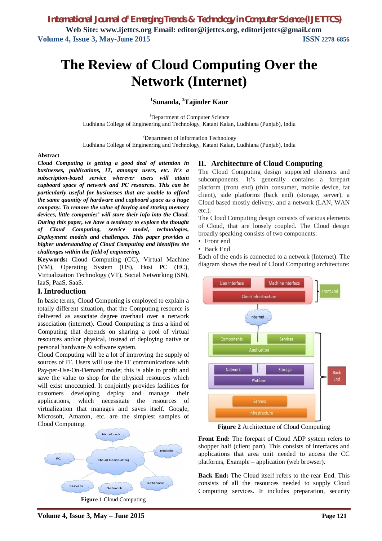# **The Review of Cloud Computing Over the Network (Internet)**

### **1 Sunanda, <sup>2</sup>Tajinder Kaur**

<sup>1</sup>Department of Computer Science Ludhiana College of Engineering and Technology, Katani Kalan, Ludhiana (Punjab), India

<sup>2</sup>Department of Information Technology

Ludhiana College of Engineering and Technology, Katani Kalan, Ludhiana (Punjab), India

#### **Abstract**

*Cloud Computing is getting a good deal of attention in businesses, publications, IT, amongst users, etc. It's a subscription-based service wherever users will attain cupboard space of network and PC resources. This can be particularly useful for businesses that are unable to afford the same quantity of hardware and cupboard space as a huge company. To remove the value of buying and storing memory devices, little companies' will store their info into the Cloud. During this paper, we have a tendency to explore the thought of Cloud Computing, service model, technologies, Deployment models and challenges. This paper provides a higher understanding of Cloud Computing and identifies the challenges within the field of engineering.*

**Keywords:** Cloud Computing (CC), Virtual Machine (VM), Operating System (OS), Host PC (HC), Virtualization Technology (VT), Social Networking (SN), IaaS, PaaS, SaaS.

#### **I. Introduction**

In basic terms, Cloud Computing is employed to explain a totally different situation, that the Computing resource is delivered as associate degree overhaul over a network association (internet). Cloud Computing is thus a kind of Computing that depends on sharing a pool of virtual resources and/or physical, instead of deploying native or personal hardware & software system.

Cloud Computing will be a lot of improving the supply of sources of IT. Users will use the IT communications with Pay-per-Use-On-Demand mode; this is able to profit and save the value to shop for the physical resources which will exist unoccupied. It conjointly provides facilities for customers developing deploy and manage their applications, which necessitate the resources of virtualization that manages and saves itself. Google, Microsoft, Amazon, etc. are the simplest samples of Cloud Computing.



#### **II. Architecture of Cloud Computing**

The Cloud Computing design supported elements and subcomponents. It's generally contains a forepart platform (front end) (thin consumer, mobile device, fat client), side platforms (back end) (storage, server), a Cloud based mostly delivery, and a network (LAN, WAN etc.).

The Cloud Computing design consists of various elements of Cloud, that are loosely coupled. The Cloud design broadly speaking consists of two components:

- Front end
- Back End

Each of the ends is connected to a network (Internet). The diagram shows the read of Cloud Computing architecture:



**Figure 2** Architecture of Cloud Computing

**Front End:** The forepart of Cloud ADP system refers to shopper half (client part). This consists of interfaces and applications that area unit needed to access the CC platforms, Example – application (web browser).

**Back End:** The Cloud itself refers to the rear End. This consists of all the resources needed to supply Cloud Computing services. It includes preparation, security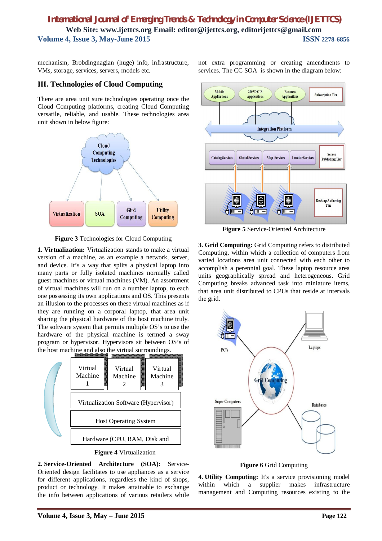mechanism, Brobdingnagian (huge) info, infrastructure, VMs, storage, services, servers, models etc.

#### **III. Technologies of Cloud Computing**

There are area unit sure technologies operating once the Cloud Computing platforms, creating Cloud Computing versatile, reliable, and usable. These technologies area unit shown in below figure:



**Figure 3** Technologies for Cloud Computing

**1. Virtualization:** Virtualization stands to make a virtual version of a machine, as an example a network, server, and device. It's a way that splits a physical laptop into many parts or fully isolated machines normally called guest machines or virtual machines (VM). An assortment of virtual machines will run on a number laptop, to each one possessing its own applications and OS. This presents an illusion to the processes on these virtual machines as if they are running on a corporal laptop, that area unit sharing the physical hardware of the host machine truly. The software system that permits multiple OS's to use the hardware of the physical machine is termed a sway program or hypervisor. Hypervisors sit between OS's of the host machine and also the virtual surroundings.





**2. Service-Oriented Architecture (SOA):** Service-Oriented design facilitates to use appliances as a service for different applications, regardless the kind of shops, product or technology. It makes attainable to exchange the info between applications of various retailers while



**Figure 5** Service-Oriented Architecture

**3. Grid Computing:** Grid Computing refers to distributed Computing, within which a collection of computers from varied locations area unit connected with each other to accomplish a perennial goal. These laptop resource area units geographically spread and heterogeneous. Grid Computing breaks advanced task into miniature items, that area unit distributed to CPUs that reside at intervals the grid.



**Figure 6** Grid Computing

**4. Utility Computing:** It's a service provisioning model within which a supplier makes infrastructure management and Computing resources existing to the

not extra programming or creating amendments to services. The CC SOA is shown in the diagram below: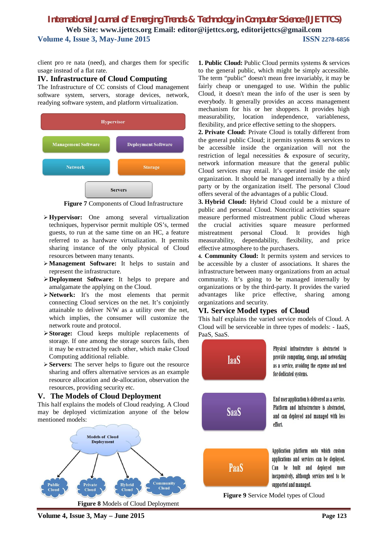client pro re nata (need), and charges them for specific usage instead of a flat rate.

#### **IV. Infrastructure of Cloud Computing**

The Infrastructure of CC consists of Cloud management software system, servers, storage devices, network, readying software system, and platform virtualization.



**Figure 7** Components of Cloud Infrastructure

- **Hypervisor:** One among several virtualization techniques, hypervisor permit multiple OS's, termed guests, to run at the same time on an HC, a feature referred to as hardware virtualization. It permits sharing instance of the only physical of Cloud resources between many tenants.
- **Management Software:** It helps to sustain and represent the infrastructure.
- **Deployment Software:** It helps to prepare and amalgamate the applying on the Cloud.
- **Network:** It's the most elements that permit connecting Cloud services on the net. It's conjointly attainable to deliver N/W as a utility over the net, which implies, the consumer will customize the network route and protocol.
- **Storage:** Cloud keeps multiple replacements of storage. If one among the storage sources fails, then it may be extracted by each other, which make Cloud Computing additional reliable.
- **Servers:** The server helps to figure out the resource sharing and offers alternative services as an example resource allocation and de-allocation, observation the resources, providing security etc.

#### **V. The Models of Cloud Deployment**

This half explains the models of Cloud readying. A Cloud may be deployed victimization anyone of the below mentioned models:



**1. Public Cloud:** Public Cloud permits systems & services to the general public, which might be simply accessible. The term "public" doesn't mean free invariably, it may be fairly cheap or unengaged to use. Within the public Cloud, it doesn't mean the info of the user is seen by everybody. It generally provides an access management mechanism for his or her shoppers. It provides high measurability, location independence, variableness, flexibility, and price effective setting to the shoppers.

**2. Private Cloud:** Private Cloud is totally different from the general public Cloud; it permits systems & services to be accessible inside the organization will not the restriction of legal necessities & exposure of security, network information measure that the general public Cloud services may entail. It's operated inside the only organization. It should be managed internally by a third party or by the organization itself. The personal Cloud offers several of the advantages of a public Cloud.

**3. Hybrid Cloud:** Hybrid Cloud could be a mixture of public and personal Cloud. Noncritical activities square measure performed mistreatment public Cloud whereas the crucial activities square measure performed mistreatment personal Cloud. It provides high measurability, dependability, flexibility, and price effective atmosphere to the purchasers.

**4. Community Cloud:** It permits system and services to be accessible by a cluster of associations. It shares the infrastructure between many organizations from an actual community. It's going to be managed internally by organizations or by the third-party. It provides the varied advantages like price effective, sharing among organizations and security.

#### **VI. Service Model types of Cloud**

This half explains the varied service models of Cloud. A Cloud will be serviceable in three types of models: - IaaS, PaaS, SaaS.



**Figure 9** Service Model types of Cloud

**Volume 4, Issue 3, May – June 2015 Page 123**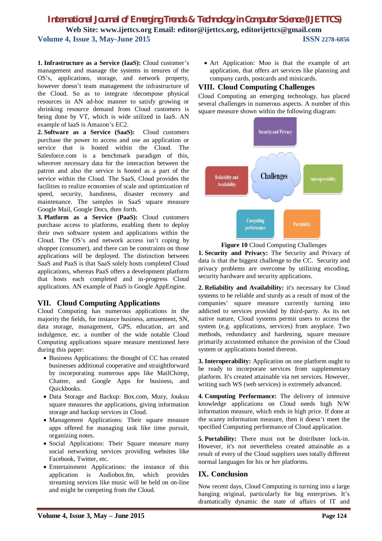**1. Infrastructure as a Service (IaaS):** Cloud customer's management and manage the systems in tenures of the OS's, applications, storage, and network property, however doesn't team management the infrastructure of the Cloud. So as to integrate /decompose physical resources in AN ad-hoc manner to satisfy growing or shrinking resource demand from Cloud customers is being done by VT, which is wide utilized in IaaS. AN example of IaaS is Amazon's EC2.

**2. Software as a Service (SaaS):** Cloud customers purchase the power to access and use an application or service that is hosted within the Cloud. The Salesforce.com is a benchmark paradigm of this, wherever necessary data for the interaction between the patron and also the service is hosted as a part of the service within the Cloud. The SaaS, Cloud provides the facilities to realize economies of scale and optimization of speed, security, handiness, disaster recovery and maintenance. The samples in SaaS square measure Google Mail, Google Docs, then forth.

**3. Platform as a Service (PaaS):** Cloud customers purchase access to platforms, enabling them to deploy their own software system and applications within the Cloud. The OS's and network access isn't coping by shopper (consumer), and there can be constraints on those applications will be deployed. The distinction between SaaS and PaaS is that SaaS solely hosts completed Cloud applications, whereas PaaS offers a development platform that hosts each completed and in-progress Cloud applications. AN example of PaaS is Google AppEngine.

## **VII. Cloud Computing Applications**

Cloud Computing has numerous applications in the majority the fields, for instance business, amusement, SN, data storage, management, GPS, education, art and indulgence, etc. a number of the wide notable Cloud Computing applications square measure mentioned here during this paper:

- Business Applications: the thought of CC has created businesses additional cooperative and straightforward by incorporating numerous apps like MailChimp, Chatter, and Google Apps for business, and Quickbooks.
- Data Storage and Backup: Box.com, Mozy, Joukuu square measures the applications, giving information storage and backup services in Cloud.
- Management Applications: Their square measure apps offered for managing task like time pursuit, organizing notes.
- Social Applications: Their Square measure many social networking services providing websites like Facebook, Twitter, etc.
- Entertainment Applications: the instance of this application is Audiobox.fm, which provides streaming services like music will be held on on-line and might be competing from the Cloud.

 Art Application: Moo is that the example of art application, that offers art services like planning and company cards, postcards and minicards.

### **VIII. Cloud Computing Challenges**

Cloud Computing an emerging technology, has placed several challenges in numerous aspects. A number of this square measure shown within the following diagram:



**Figure 10** Cloud Computing Challenges

**1. Security and Privacy:** The Security and Privacy of data is that the biggest challenge to the CC. Security and privacy problems are overcome by utilizing encoding, security hardware and security applications.

**2. Reliability and Availability:** it's necessary for Cloud systems to be reliable and sturdy as a result of most of the companies' square measure currently turning into addicted to services provided by third-party. As its net native nature, Cloud systems permit users to access the system (e.g. applications, services) from anyplace. Two methods, redundancy and hardening, square measure primarily accustomed enhance the provision of the Cloud system or applications hosted thereon.

**3. Interoperability:** Application on one platform ought to be ready to incorporate services from supplementary platform. It's created attainable via net services. However, writing such WS (web services) is extremely advanced.

**4. Computing Performance:** The delivery of intensive knowledge applications on Cloud needs high N/W information measure, which ends in high price. If done at the scanty information measure, then it doesn't meet the specified Computing performance of Cloud application.

**5. Portability:** There must not be distributer lock-in. However, it's not nevertheless created attainable as a result of every of the Cloud suppliers uses totally different normal languages for his or her platforms.

## **IX. Conclusion**

Now recent days, Cloud Computing is turning into a large hanging original, particularly for big enterprises. It's dramatically dynamic the state of affairs of IT and